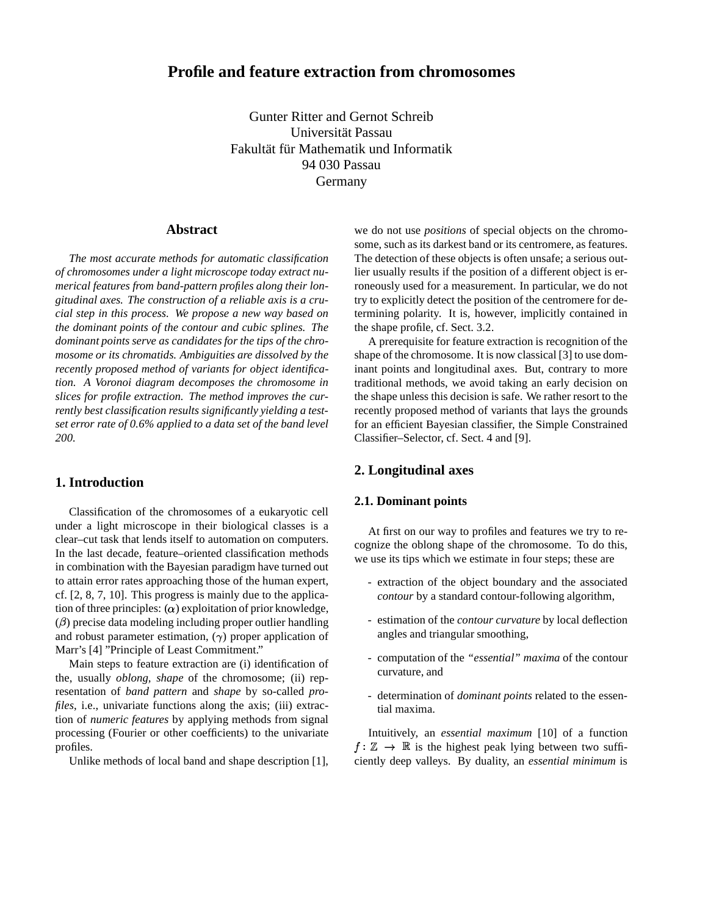# **Profile and feature extraction from chromosomes**

Gunter Ritter and Gernot Schreib Universität Passau Fakultät für Mathematik und Informatik 94 030 Passau Germany

# **Abstract**

*The most accurate methods for automatic classification of chromosomes under a light microscope today extract numerical features from band-pattern profiles along their longitudinal axes. The construction of a reliable axis is a crucial step in this process. We propose a new way based on the dominant points of the contour and cubic splines. The dominant points serve as candidates for the tips of the chromosome or its chromatids. Ambiguities are dissolved by the recently proposed method of variants for object identification. A Voronoi diagram decomposes the chromosome in slices for profile extraction. The method improves the currently best classification results significantly yielding a testset error rate of 0.6% applied to a data set of the band level 200.*

# **1. Introduction**

Classification of the chromosomes of a eukaryotic cell under a light microscope in their biological classes is a clear–cut task that lends itself to automation on computers. In the last decade, feature–oriented classification methods in combination with the Bayesian paradigm have turned out to attain error rates approaching those of the human expert, cf. [2, 8, 7, 10]. This progress is mainly due to the application of three principles:  $(\alpha)$  exploitation of prior knowledge,  $(\beta)$  precise data modeling including proper outlier handling and robust parameter estimation,  $(\gamma)$  proper application of Marr's [4] "Principle of Least Commitment."

Main steps to feature extraction are (i) identification of the, usually *oblong, shape* of the chromosome; (ii) representation of *band pattern* and *shape* by so-called *profiles*, i.e., univariate functions along the axis; (iii) extraction of *numeric features* by applying methods from signal processing (Fourier or other coefficients) to the univariate profiles.

Unlike methods of local band and shape description [1],

we do not use *positions* of special objects on the chromosome, such as its darkest band or its centromere, as features. The detection of these objects is often unsafe; a serious outlier usually results if the position of a different object is erroneously used for a measurement. In particular, we do not try to explicitly detect the position of the centromere for determining polarity. It is, however, implicitly contained in the shape profile, cf. Sect. 3.2.

A prerequisite for feature extraction is recognition of the shape of the chromosome. It is now classical [3] to use dominant points and longitudinal axes. But, contrary to more traditional methods, we avoid taking an early decision on the shape unless this decision is safe. We rather resort to the recently proposed method of variants that lays the grounds for an efficient Bayesian classifier, the Simple Constrained Classifier–Selector, cf. Sect. 4 and [9].

## **2. Longitudinal axes**

## **2.1. Dominant points**

At first on our way to profiles and features we try to recognize the oblong shape of the chromosome. To do this, we use its tips which we estimate in four steps; these are

- extraction of the object boundary and the associated *contour* by a standard contour-following algorithm,
- estimation of the *contour curvature* by local deflection angles and triangular smoothing,
- computation of the *"essential" maxima* of the contour curvature, and
- determination of *dominant points* related to the essential maxima.

 $f: \mathbb{Z} \to \mathbb{R}$  is the highest peak lying between two suffi-Intuitively, an *essential maximum* [10] of a function ciently deep valleys. By duality, an *essential minimum* is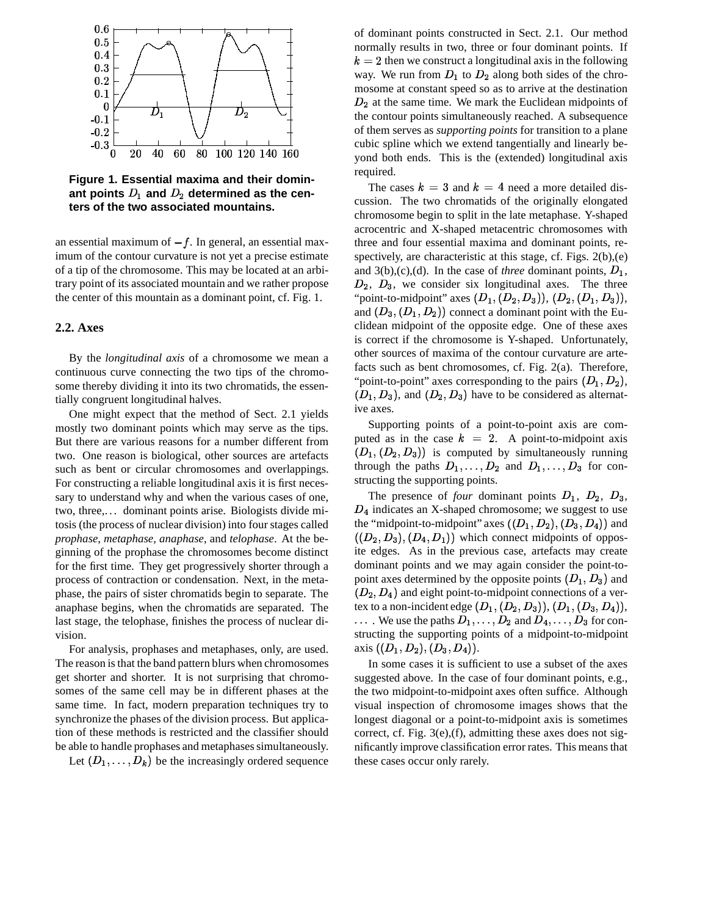

**Figure 1. Essential maxima and their domin**ant points  $D_1$  and  $D_2$  determined as the cen**ters of the two associated mountains.**

an essential maximum of  $-f$ . In general, an essential maximum of the contour curvature is not yet a precise estimate of a tip of the chromosome. This may be located at an arbitrary point of its associated mountain and we rather propose the center of this mountain as a dominant point, cf. Fig. 1.

#### **2.2. Axes**

By the *longitudinal axis* of a chromosome we mean a continuous curve connecting the two tips of the chromosome thereby dividing it into its two chromatids, the essentially congruent longitudinal halves.

One might expect that the method of Sect. 2.1 yields mostly two dominant points which may serve as the tips. But there are various reasons for a number different from two. One reason is biological, other sources are artefacts such as bent or circular chromosomes and overlappings. For constructing a reliable longitudinal axis it is first necessary to understand why and when the various cases of one, two, three,. . . dominant points arise. Biologists divide mitosis (the process of nuclear division) into four stages called *prophase*, *metaphase*, *anaphase*, and *telophase*. At the beginning of the prophase the chromosomes become distinct for the first time. They get progressively shorter through a process of contraction or condensation. Next, in the metaphase, the pairs of sister chromatids begin to separate. The anaphase begins, when the chromatids are separated. The last stage, the telophase, finishes the process of nuclear division.

For analysis, prophases and metaphases, only, are used. The reason is that the band pattern blurs when chromosomes get shorter and shorter. It is not surprising that chromosomes of the same cell may be in different phases at the same time. In fact, modern preparation techniques try to synchronize the phases of the division process. But application of these methods is restricted and the classifier should be able to handle prophases and metaphases simultaneously.

Let  $(D_1, \ldots, D_k)$  be the increasingly ordered sequence

of dominant points constructed in Sect. 2.1. Our method normally results in two, three or four dominant points. If  $k = 2$  then we construct a longitudinal axis in the following way. We run from  $D_1$  to  $D_2$  along both sides of the chromosome at constant speed so as to arrive at the destination  $D_2$  at the same time. We mark the Euclidean midpoints of the contour points simultaneously reached. A subsequence of them serves as *supporting points* for transition to a plane cubic spline which we extend tangentially and linearly beyond both ends. This is the (extended) longitudinal axis required.

The cases  $k = 3$  and  $k = 4$  need a more detailed discussion. The two chromatids of the originally elongated chromosome begin to split in the late metaphase. Y-shaped acrocentric and X-shaped metacentric chromosomes with three and four essential maxima and dominant points, respectively, are characteristic at this stage, cf. Figs. 2(b),(e) and  $3(b)$ , (c), (d). In the case of *three* dominant points,  $D_1$ ,  $D_2$ ,  $D_3$ , we consider six longitudinal axes. The three "point-to-midpoint" axes  $(D_1, (D_2, D_3)), (D_2, (D_1, D_3)),$ and  $(D_3, (D_1, D_2))$  connect a dominant point with the Euclidean midpoint of the opposite edge. One of these axes is correct if the chromosome is Y-shaped. Unfortunately, other sources of maxima of the contour curvature are artefacts such as bent chromosomes, cf. Fig. 2(a). Therefore, "point-to-point" axes corresponding to the pairs  $(D_1, D_2)$ ,  $(D_1, D_3)$ , and  $(D_2, D_3)$  have to be considered as alternative axes.

Supporting points of a point-to-point axis are computed as in the case  $k = 2$ . A point-to-midpoint axis  $(D_1, (D_2, D_3))$  is computed by simultaneously running through the paths  $D_1, \ldots, D_2$  and  $D_1, \ldots, D_3$  for constructing the supporting points.

 $D_4$  indicates an X-shaped chromosome; we suggest to use The presence of *four* dominant points  $D_1$ ,  $D_2$ ,  $D_3$ , the "midpoint-to-midpoint" axes  $((D_1, D_2), (D_3, D_4))$  and  $((D_2, D_3), (D_4, D_1))$  which connect midpoints of opposite edges. As in the previous case, artefacts may create dominant points and we may again consider the point-topoint axes determined by the opposite points  $(D_1, D_3)$  and  $(D_2, D_4)$  and eight point-to-midpoint connections of a vertex to a non-incident edge  $(D_1,(D_2,D_3)),$   $(D_1,(D_3,D_4)),$  $\ldots$  We use the paths  $D_1, \ldots, D_2$  and  $D_4, \ldots, D_3$  for constructing the supporting points of a midpoint-to-midpoint axis  $((D_1, D_2), (D_3, D_4)).$ 

In some cases it is sufficient to use a subset of the axes suggested above. In the case of four dominant points, e.g., the two midpoint-to-midpoint axes often suffice. Although visual inspection of chromosome images shows that the longest diagonal or a point-to-midpoint axis is sometimes correct, cf. Fig. 3(e),(f), admitting these axes does not significantly improve classification error rates. This means that these cases occur only rarely.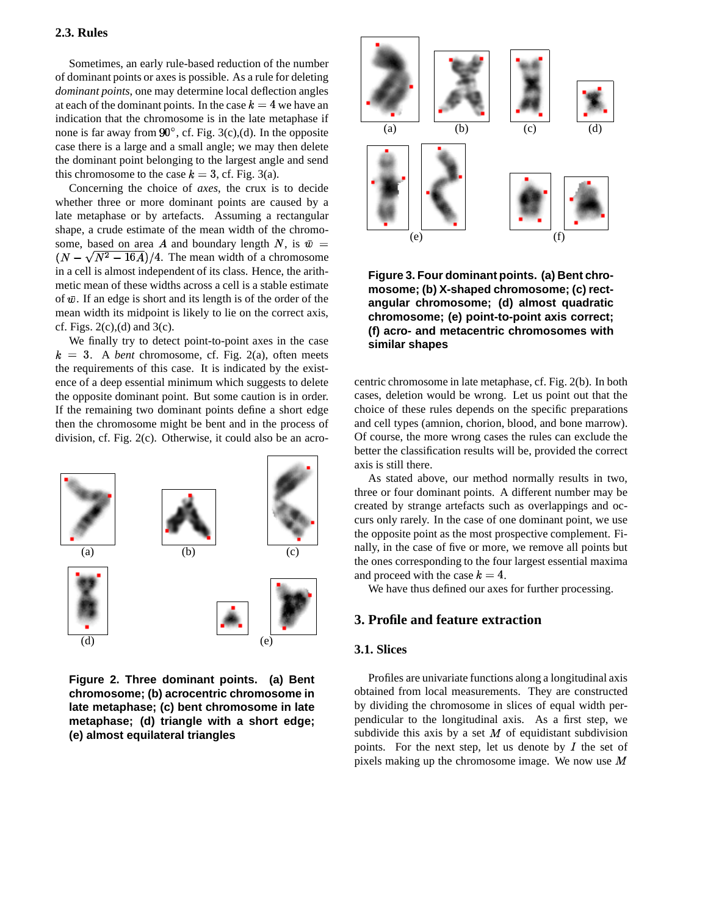#### **2.3. Rules**

Sometimes, an early rule-based reduction of the number of dominant points or axes is possible. As a rule for deleting *dominant points*, one may determine local deflection angles at each of the dominant points. In the case  $k = 4$  we have an indication that the chromosome is in the late metaphase if none is far away from  $90^\circ$ , cf. Fig. 3(c),(d). In the opposite case there is a large and a small angle; we may then delete the dominant point belonging to the largest angle and send this chromosome to the case  $k = 3$ , cf. Fig. 3(a).

Concerning the choice of *axes*, the crux is to decide whether three or more dominant points are caused by a late metaphase or by artefacts. Assuming a rectangular shape, a crude estimate of the mean width of the chromosome, based on area A and boundary length N, is  $\bar{w}$  =  $(N - \sqrt{N^2 - 16A})/4$ . The mean width of a chromosome in a cell is almost independent of its class. Hence, the arithmetic mean of these widths across a cell is a stable estimate of  $\bar{w}$ . If an edge is short and its length is of the order of the mean width its midpoint is likely to lie on the correct axis, cf. Figs.  $2(c)$ , (d) and  $3(c)$ .

 $k = 3$ . A *bent* chromosome, cf. Fig. 2(a), often meets We finally try to detect point-to-point axes in the case the requirements of this case. It is indicated by the existence of a deep essential minimum which suggests to delete the opposite dominant point. But some caution is in order. If the remaining two dominant points define a short edge then the chromosome might be bent and in the process of division, cf. Fig. 2(c). Otherwise, it could also be an acro-



**Figure 2. Three dominant points. (a) Bent chromosome; (b) acrocentric chromosome in late metaphase; (c) bent chromosome in late metaphase; (d) triangle with a short edge; (e) almost equilateral triangles**



**Figure 3. Four dominant points. (a) Bent chromosome; (b) X-shaped chromosome; (c) rectangular chromosome; (d) almost quadratic chromosome; (e) point-to-point axis correct; (f) acro- and metacentric chromosomes with similar shapes**

centric chromosome in late metaphase, cf. Fig. 2(b). In both cases, deletion would be wrong. Let us point out that the choice of these rules depends on the specific preparations and cell types (amnion, chorion, blood, and bone marrow). Of course, the more wrong cases the rules can exclude the better the classification results will be, provided the correct axis is still there.

(a)  $\begin{array}{c|c}\n\hline\n\end{array}$  (b)  $\begin{array}{c|c}\n\hline\n\end{array}$  (c) the opposite point as the most prospective complement. Finally, in the case of five or more, we remove all points but and proceed with the case  $k = 4$ .<br>We have thus defined our axes for further processing  $\overline{(c)}$  and  $\overline{(c)}$  and  $\overline{(c)}$  and  $\overline{(c)}$  and  $\overline{(c)}$  and  $\overline{(c)}$  and  $\overline{(c)}$  and  $\overline{(c)}$  and  $\overline{(c)}$  are ones corresponding to the four largest essential maxima As stated above, our method normally results in two, three or four dominant points. A different number may be created by strange artefacts such as overlappings and occurs only rarely. In the case of one dominant point, we use the opposite point as the most prospective complement. Finally, in the case of five or more, we remove all points but the ones corresponding to the four largest essential maxima and proceed with the case  $k = 4$ .

We have thus defined our axes for further processing.

## **3. Profile and feature extraction**

# **3.1. Slices**

Profiles are univariate functions along a longitudinal axis obtained from local measurements. They are constructed by dividing the chromosome in slices of equal width perpendicular to the longitudinal axis. As a first step, we subdivide this axis by a set  $M$  of equidistant subdivision points. For the next step, let us denote by  $I$  the set of pixels making up the chromosome image. We now use  $M$